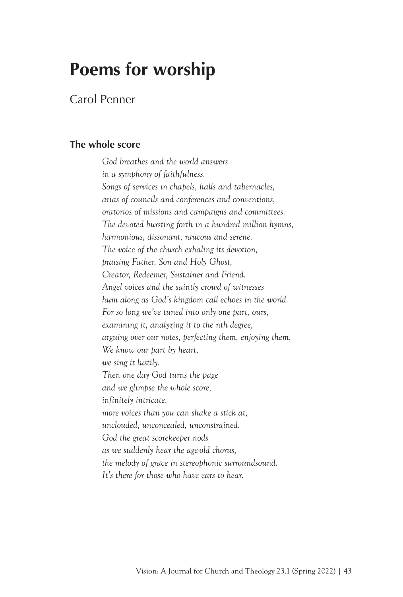## **Poems for worship**

Carol Penner

## **The whole score**

*God breathes and the world answers in a symphony of faithfulness. Songs of services in chapels, halls and tabernacles, arias of councils and conferences and conventions, oratorios of missions and campaigns and committees. The devoted bursting forth in a hundred million hymns, harmonious, dissonant, raucous and serene. The voice of the church exhaling its devotion, praising Father, Son and Holy Ghost, Creator, Redeemer, Sustainer and Friend. Angel voices and the saintly crowd of witnesses hum along as God's kingdom call echoes in the world. For so long we've tuned into only one part, ours, examining it, analyzing it to the nth degree, arguing over our notes, perfecting them, enjoying them. We know our part by heart, we sing it lustily. Then one day God turns the page and we glimpse the whole score, infinitely intricate, more voices than you can shake a stick at, unclouded, unconcealed, unconstrained. God the great scorekeeper nods as we suddenly hear the age-old chorus, the melody of grace in stereophonic surroundsound. It's there for those who have ears to hear.*